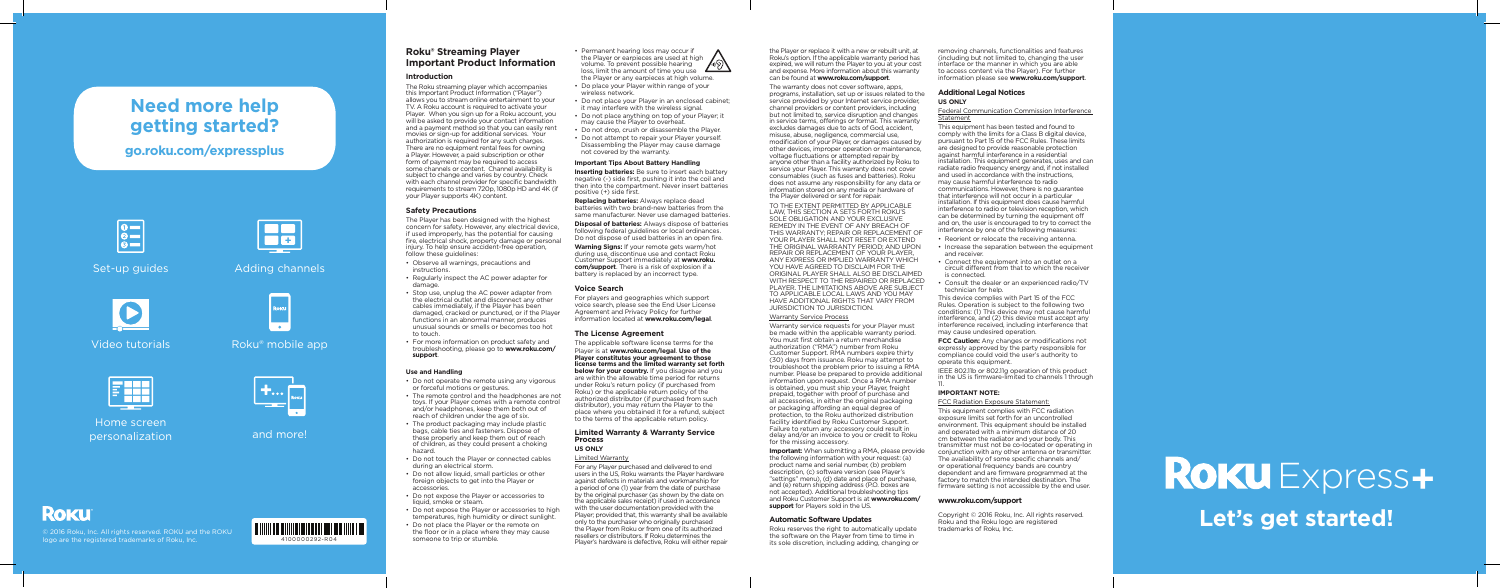

# **Need more help getting started?**



Home screen personalization and more!

## **ROKU**

## **go.roku.com/expressplus**



Set-up guides Adding channels



Video tutorials

Roku® mobile app

 $\begin{array}{c} \mathbf{r} \\ \mathbf{r} \\ \mathbf{r} \end{array}$  ,  $\begin{array}{c} \mathbf{r} \\ \mathbf{r} \\ \mathbf{r} \end{array}$ 

26

© 2016 Roku, Inc. All rights reserved. ROKU and the ROKU logo are the registered trademarks of Roku, Inc.

### **Roku® Streaming Player Important Product Information**

#### **Introduction**

The Player has been designed with the highest concern for safety. However, any electrical device, if used improperly, has the potential for causing fire, electrical shock, property damage or personal injury. To help ensure accident-free operation, follow these quidelines:

The Roku streaming player which accompanies this Important Product Information ("Player") allows you to stream online entertainment to your TV. A Roku account is required to activate your Player. When you sign up for a Roku account, you will be asked to provide your contact information and a payment method so that you can easily rent movies or sign-up for additional services. Your authorization is required for any such charges. There are no equipment rental fees for owning a Player. However, a paid subscription or other form of payment may be required to access some channels or content. Channel availability is subject to change and varies by country. Check with each channel provider for specific bandwidth requirements to stream 720p, 1080p HD and 4K (if your Player supports 4K) content.

#### **Safety Precautions**

- Observe all warnings, precautions and instructions.
- Regularly inspect the AC power adapter for damage
- Stop use, unplug the AC power adapter from the electrical outlet and disconnect any other cables immediately, if the Player has been damaged, cracked or punctured, or if the Player functions in an abnormal manner, produces unusual sounds or smells or becomes too hot to touch.
- For more information on product safety and troubleshooting, please go to **www.roku.com/ support**.

#### **Use and Handling**

- Do not operate the remote using any vigorous or forceful motions or gestures.
- The remote control and the headphones are not toys. If your Player comes with a remote control and/or headphones, keep them both out of reach of children under the age of six.
- The product packaging may include plastic bags, cable ties and fasteners. Dispose of these properly and keep them out of reach of children, as they could present a choking hazard.
- Do not touch the Player or connected cables during an electrical storm.
- Do not allow liquid, small particles or other foreign objects to get into the Player or accessories.
- Do not expose the Player or accessories to liquid, smoke or steam.
- Do not expose the Player or accessories to high temperatures, high humidity or direct sunlight.
- Do not place the Player or the remote on the floor or in a place where they may cause someone to trip or stumble.
- Permanent hearing loss may occur if the Player or earpieces are used at high volume. To prevent possible hearing loss, limit the amount of time you use the Player or any earpieces at high volume.
- Do place your Player within range of your wireless network.
- Do not place your Player in an enclosed cabinet; it may interfere with the wireless signal.
- Do not place anything on top of your Player; it
- may cause the Player to overheat. • Do not drop, crush or disassemble the Player.
- Do not attempt to repair your Player yourself. Disassembling the Player may cause damage not covered by the warranty.

#### **Important Tips About Battery Handling**

**Inserting batteries:** Be sure to insert each battery negative (-) side first, pushing it into the coil and then into the compartment. Never insert batteries positive (+) side first.

**Replacing batteries:** Always replace dead batteries with two brand-new batteries from the same manufacturer. Never use damaged batteries.

**Disposal of batteries:** Always dispose of batteries following federal guidelines or local ordinances. Do not dispose of used batteries in an open fire.

**Warning Signs:** If your remote gets warm/hot during use, discontinue use and contact Roku Customer Support immediately at **www.roku. com/support**. There is a risk of explosion if a battery is replaced by an incorrect type.

#### **Voice Search**

For players and geographies which support voice search, please see the End User License Agreement and Privacy Policy for further information located at **www.roku.com/legal**.

#### **The License Agreement**

The applicable software license terms for the Player is at **www.roku.com/legal**. **Use of the Player constitutes your agreement to those license terms and the limited warranty set forth below for your country.** If you disagree and you are within the allowable time period for returns under Roku's return policy (if purchased from Roku) or the applicable return policy of the authorized distributor (if purchased from such distributor), you may return the Player to the place where you obtained it for a refund, subject to the terms of the applicable return policy.

#### **Limited Warranty & Warranty Service Process US ONLY**

#### Limited Warranty

For any Player purchased and delivered to end users in the US, Roku warrants the Player hardware against defects in materials and workmanship for a period of one (1) year from the date of purchase by the original purchaser (as shown by the date on the applicable sales receipt) if used in accordance with the user documentation provided with the Player; provided that, this warranty shall be available only to the purchaser who originally purchased the Player from Roku or from one of its authorized resellers or distributors. If Roku determines the Player's hardware is defective, Roku will either repair the Player or replace it with a new or rebuilt unit, at Roku's option. If the applicable warranty period has expired, we will return the Player to you at your cost and expense. More information about this warranty can be found at **www.roku.com/support**.

The warranty does not cover software, apps, programs, installation, set up or issues related to the service provided by your Internet service provider, channel providers or content providers, including but not limited to, service disruption and changes in service terms, offerings or format. This warranty excludes damages due to acts of God, accident, misuse, abuse, negligence, commercial use, modification of your Player, or damages caused by other devices, improper operation or maintenance, voltage fluctuations or attempted repair by anyone other than a facility authorized by Roku to service your Player. This warranty does not cover consumables (such as fuses and batteries). Roku does not assume any responsibility for any data or information stored on any media or hardware of the Player delivered or sent for repair.

TO THE EXTENT PERMITTED BY APPLICABLE LAW, THIS SECTION A SETS FORTH ROKU'S SOLE OBLIGATION AND YOUR EXCLUSIVE REMEDY IN THE EVENT OF ANY BREACH OF THIS WARRANTY; REPAIR OR REPLACEMENT OF YOUR PLAYER SHALL NOT RESET OR EXTEND THE ORIGINAL WARRANTY PERIOD; AND UPON REPAIR OR REPLACEMENT OF YOUR PLAYER, ANY EXPRESS OR IMPLIED WARRANTY WHICH YOU HAVE AGREED TO DISCLAIM FOR THE ORIGINAL PLAYER SHALL ALSO BE DISCLAIMED WITH RESPECT TO THE REPAIRED OR REPLACED PLAYER. THE LIMITATIONS ABOVE ARE SUBJECT TO APPLICABLE LOCAL LAWS AND YOU MAY HAVE ADDITIONAL RIGHTS THAT VARY FROM JURISDICTION TO JURISDICTION.

#### Warranty Service Process

Warranty service requests for your Player must be made within the applicable warranty period. You must first obtain a return merchandise authorization ("RMA") number from Roku Customer Support. RMA numbers expire thirty (30) days from issuance. Roku may attempt to troubleshoot the problem prior to issuing a RMA number. Please be prepared to provide additional information upon request. Once a RMA number is obtained, you must ship your Player, freight prepaid, together with proof of purchase and all accessories, in either the original packaging or packaging affording an equal degree of protection, to the Roku authorized distribution facility identified by Roku Customer Support. Failure to return any accessory could result in delay and/or an invoice to you or credit to Roku

for the missing accessory. **Important:** When submitting a RMA, please provide the following information with your request: (a) product name and serial number, (b) problem description, (c) software version (see Player's "settings" menu), (d) date and place of purchase, and (e) return shipping address (P.O. boxes are not accepted). Additional troubleshooting tips and Roku Customer Support is at **www.roku.com/ support** for Players sold in the US.

#### **Automatic Software Updates**

Roku reserves the right to automatically update the software on the Player from time to time in its sole discretion, including adding, changing or

removing channels, functionalities and features (including but not limited to, changing the user interface or the manner in which you are able to access content via the Player). For further information please see **www.roku.com/support**.

#### **Additional Legal Notices US ONLY**

Federal Communication Commission Interference

# Statement

This equipment has been tested and found to comply with the limits for a Class B digital device, pursuant to Part 15 of the FCC Rules. These limits are designed to provide reasonable protection against harmful interference in a residential installation. This equipment generates, uses and can radiate radio frequency energy and, if not installed and used in accordance with the instructions, may cause harmful interference to radio

communications. However, there is no guarantee that interference will not occur in a particular installation. If this equipment does cause harmful interference to radio or television reception, which can be determined by turning the equipment off and on, the user is encouraged to try to correct the interference by one of the following measures:

• Reorient or relocate the receiving antenna. • Increase the separation between the equipment

• Connect the equipment into an outlet on a circuit different from that to which the receiver

- and receiver.
- is connected.
- technician for help.

• Consult the dealer or an experienced radio/TV

This device complies with Part 15 of the FCC Rules. Operation is subject to the following two conditions: (1) This device may not cause harmful interference, and (2) this device must accept any interference received, including interference that may cause undesired operation.

# ROKU Express+ **Let's get started!**

**FCC Caution:** Any changes or modifications not expressly approved by the party responsible for compliance could void the user's authority to operate this equipment.

IEEE 802.11b or 802.11g operation of this product in the US is firmware-limited to channels 1 through

#### 11. **IMPORTANT NOTE:**

FCC Radiation Exposure Statement: This equipment complies with FCC radiation exposure limits set forth for an uncontrolled environment. This equipment should be installed and operated with a minimum distance of 20 cm between the radiator and your body. This transmitter must not be co-located or operating in conjunction with any other antenna or transmitter. The availability of some specific channels and/ or operational frequency bands are country dependent and are firmware programmed at the factory to match the intended destination. The firmware setting is not accessible by the end user.

## **www.roku.com/support**

Copyright © 2016 Roku, Inc. All rights reserved. Roku and the Roku logo are registered